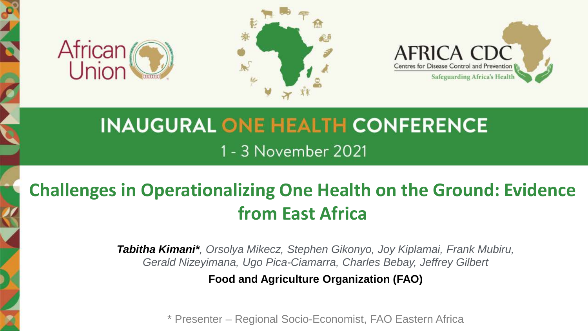





# **INAUGURAL ONE HEALTH CONFERENCE** 1 - 3 November 2021

## **Challenges in Operationalizing One Health on the Ground: Evidence from East Africa**

*Tabitha Kimani\*, Orsolya Mikecz, Stephen Gikonyo, Joy Kiplamai, Frank Mubiru, Gerald Nizeyimana, Ugo Pica-Ciamarra, Charles Bebay, Jeffrey Gilbert*

**Food and Agriculture Organization (FAO)**

\* Presenter – Regional Socio-Economist, FAO Eastern Africa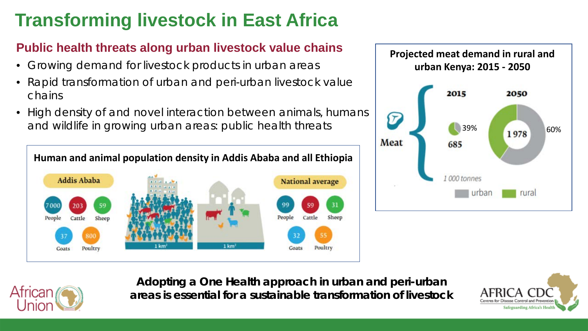# **Transforming livestock in East Africa**

#### **Public health threats along urban livestock value chains**

- Growing demand for livestock products in urban areas
- Rapid transformation of urban and peri-urban livestock value chains
- High density of and novel interaction between animals, humans and wildlife in growing urban areas: public health threats







**Adopting a One Health approach in urban and peri-urban areas is essential for a sustainable transformation of livestock**

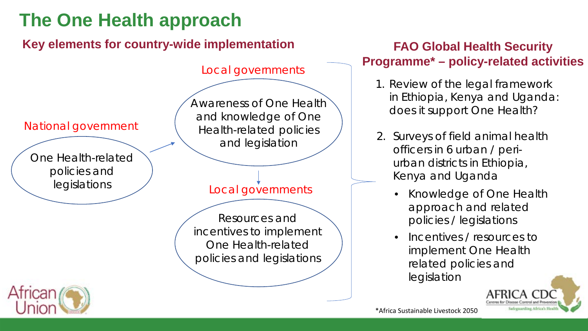## **The One Health approach**

**Key elements for country-wide implementation**



#### **FAO Global Health Security Programme\* – policy-related activities**

- 1. Review of the legal framework in Ethiopia, Kenya and Uganda: does it support One Health?
- 2. Surveys of field animal health officers in 6 urban / periurban districts in Ethiopia, Kenya and Uganda
	- *Knowledge of One Health approach and related policies / legislations*
	- *Incentives / resources to implement One Health related policies and legislation*

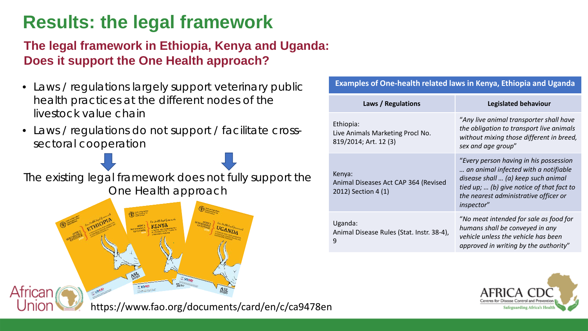## **Results: the legal framework**

#### **The legal framework in Ethiopia, Kenya and Uganda: Does it support the One Health approach?**

- Laws / regulations largely support veterinary public health practices at the different nodes of the livestock value chain
- Laws / regulations do not support / facilitate crosssectoral cooperation

The existing legal framework does not fully support the One Health approach



African

| <b>Examples of One-health related laws in Kenya, Ethiopia and Uganda</b> |                                                                                                                                                                                                                           |
|--------------------------------------------------------------------------|---------------------------------------------------------------------------------------------------------------------------------------------------------------------------------------------------------------------------|
| Laws / Regulations                                                       | Legislated behaviour                                                                                                                                                                                                      |
| Ethiopia:<br>Live Animals Marketing Procl No.<br>819/2014; Art. 12 (3)   | "Any live animal transporter shall have<br>the obligation to transport live animals<br>without mixing those different in breed,<br>sex and age group"                                                                     |
| Kenya:<br>Animal Diseases Act CAP 364 (Revised<br>2012) Section 4 (1)    | "Every person having in his possession<br>an animal infected with a notifiable<br>disease shall  (a) keep such animal<br>tied up;  (b) give notice of that fact to<br>the nearest administrative officer or<br>inspector" |
| Uganda:<br>Animal Disease Rules (Stat. Instr. 38-4),<br>9                | "No meat intended for sale as food for<br>humans shall be conveyed in any<br>vehicle unless the vehicle has been<br>approved in writing by the authority"                                                                 |
|                                                                          |                                                                                                                                                                                                                           |



https://www.fao.org/documents/card/en/c/ca9478en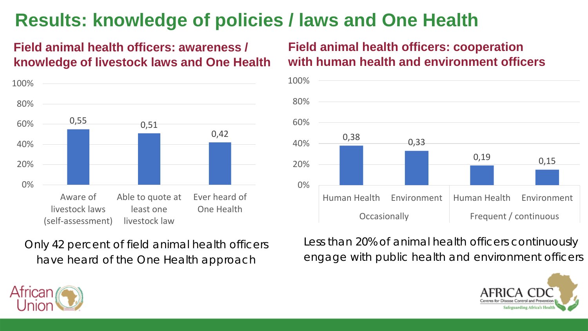## **Results: knowledge of policies / laws and One Health**

#### **Field animal health officers: awareness / knowledge of livestock laws and One Health**



Only 42 percent of field animal health officers have heard of the One Health approach

**Field animal health officers: cooperation with human health and environment officers**



Less than 20% of animal health officers continuously engage with public health and environment officers



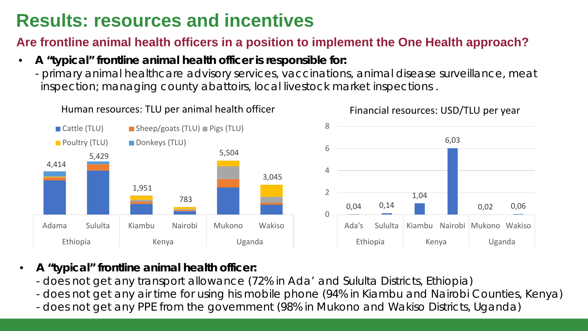### **Results: resources and incentives**

#### **Are frontline animal health officers in a position to implement the One Health approach?**

- **A "typical" frontline animal health officer is responsible for:**
	- primary animal healthcare advisory services, vaccinations, animal disease surveillance, meat inspection; managing county abattoirs, local livestock market inspections .



- **A "typical" frontline animal health officer:**
	- does not get any transport allowance (72% in Ada' and Sululta Districts, Ethiopia)
	- does not get any air time for using his mobile phone (94% in Kiambu and Nairobi Counties, Kenya)
	- does not get any PPE from the government (98% in Mukono and Wakiso Districts, Uganda)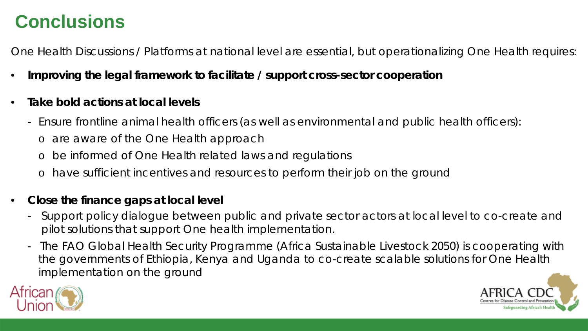#### **Conclusions**

One Health Discussions / Platforms at national level are essential, but operationalizing One Health requires:

- **Improving the legal framework to facilitate / support cross-sector cooperation**
- **Take bold actions at local levels**
	- Ensure frontline animal health officers (as well as environmental and public health officers):
		- o are aware of the One Health approach
		- be informed of One Health related laws and regulations
		- o have sufficient incentives and resources to perform their job on the ground
- **Close the finance gaps at local level**
	- Support policy dialogue between public and private sector actors at local level to co-create and pilot solutions that support One health implementation.
	- The FAO Global Health Security Programme (Africa Sustainable Livestock 2050) is cooperating with the governments of Ethiopia, Kenya and Uganda to co-create scalable solutions for One Health implementation on the ground